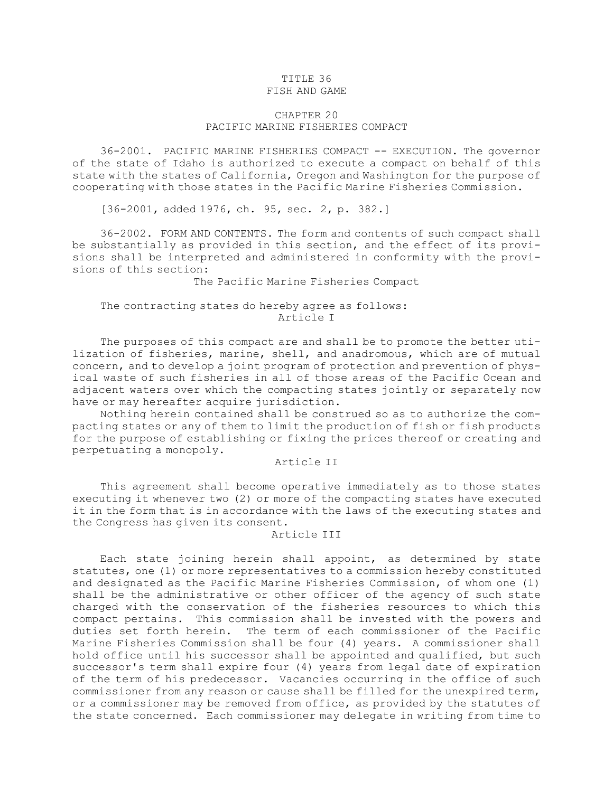### TITLE 36 FISH AND GAME

# CHAPTER 20 PACIFIC MARINE FISHERIES COMPACT

36-2001. PACIFIC MARINE FISHERIES COMPACT -- EXECUTION. The governor of the state of Idaho is authorized to execute <sup>a</sup> compact on behalf of this state with the states of California, Oregon and Washington for the purpose of cooperating with those states in the Pacific Marine Fisheries Commission.

[36-2001, added 1976, ch. 95, sec. 2, p. 382.]

36-2002. FORM AND CONTENTS. The form and contents of such compact shall be substantially as provided in this section, and the effect of its provisions shall be interpreted and administered in conformity with the provisions of this section:

The Pacific Marine Fisheries Compact

# The contracting states do hereby agree as follows: Article I

The purposes of this compact are and shall be to promote the better utilization of fisheries, marine, shell, and anadromous, which are of mutual concern, and to develop <sup>a</sup> joint program of protection and prevention of physical waste of such fisheries in all of those areas of the Pacific Ocean and adjacent waters over which the compacting states jointly or separately now have or may hereafter acquire jurisdiction.

Nothing herein contained shall be construed so as to authorize the compacting states or any of them to limit the production of fish or fish products for the purpose of establishing or fixing the prices thereof or creating and perpetuating <sup>a</sup> monopoly.

# Article II

This agreement shall become operative immediately as to those states executing it whenever two (2) or more of the compacting states have executed it in the form that is in accordance with the laws of the executing states and the Congress has given its consent.

# Article III

Each state joining herein shall appoint, as determined by state statutes, one (1) or more representatives to <sup>a</sup> commission hereby constituted and designated as the Pacific Marine Fisheries Commission, of whom one (1) shall be the administrative or other officer of the agency of such state charged with the conservation of the fisheries resources to which this compact pertains. This commission shall be invested with the powers and duties set forth herein. The term of each commissioner of the Pacific Marine Fisheries Commission shall be four (4) years. <sup>A</sup> commissioner shall hold office until his successor shall be appointed and qualified, but such successor's term shall expire four (4) years from legal date of expiration of the term of his predecessor. Vacancies occurring in the office of such commissioner from any reason or cause shall be filled for the unexpired term, or <sup>a</sup> commissioner may be removed from office, as provided by the statutes of the state concerned. Each commissioner may delegate in writing from time to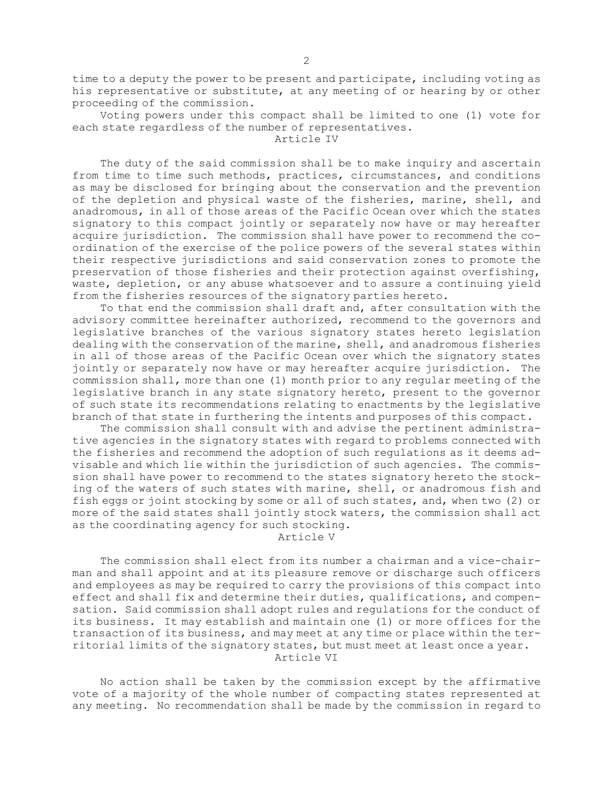time to <sup>a</sup> deputy the power to be present and participate, including voting as his representative or substitute, at any meeting of or hearing by or other proceeding of the commission.

Voting powers under this compact shall be limited to one (1) vote for each state regardless of the number of representatives.

Article IV

The duty of the said commission shall be to make inquiry and ascertain from time to time such methods, practices, circumstances, and conditions as may be disclosed for bringing about the conservation and the prevention of the depletion and physical waste of the fisheries, marine, shell, and anadromous, in all of those areas of the Pacific Ocean over which the states signatory to this compact jointly or separately now have or may hereafter acquire jurisdiction. The commission shall have power to recommend the coordination of the exercise of the police powers of the several states within their respective jurisdictions and said conservation zones to promote the preservation of those fisheries and their protection against overfishing, waste, depletion, or any abuse whatsoever and to assure <sup>a</sup> continuing yield from the fisheries resources of the signatory parties hereto.

To that end the commission shall draft and, after consultation with the advisory committee hereinafter authorized, recommend to the governors and legislative branches of the various signatory states hereto legislation dealing with the conservation of the marine, shell, and anadromous fisheries in all of those areas of the Pacific Ocean over which the signatory states jointly or separately now have or may hereafter acquire jurisdiction. The commission shall, more than one (1) month prior to any regular meeting of the legislative branch in any state signatory hereto, present to the governor of such state its recommendations relating to enactments by the legislative branch of that state in furthering the intents and purposes of this compact.

The commission shall consult with and advise the pertinent administrative agencies in the signatory states with regard to problems connected with the fisheries and recommend the adoption of such regulations as it deems advisable and which lie within the jurisdiction of such agencies. The commission shall have power to recommend to the states signatory hereto the stocking of the waters of such states with marine, shell, or anadromous fish and fish eggs or joint stocking by some or all of such states, and, when two (2) or more of the said states shall jointly stock waters, the commission shall act as the coordinating agency for such stocking.

Article V

The commission shall elect from its number <sup>a</sup> chairman and <sup>a</sup> vice-chairman and shall appoint and at its pleasure remove or discharge such officers and employees as may be required to carry the provisions of this compact into effect and shall fix and determine their duties, qualifications, and compensation. Said commission shall adopt rules and regulations for the conduct of its business. It may establish and maintain one (1) or more offices for the transaction of its business, and may meet at any time or place within the territorial limits of the signatory states, but must meet at least once <sup>a</sup> year. Article VI

No action shall be taken by the commission except by the affirmative vote of <sup>a</sup> majority of the whole number of compacting states represented at any meeting. No recommendation shall be made by the commission in regard to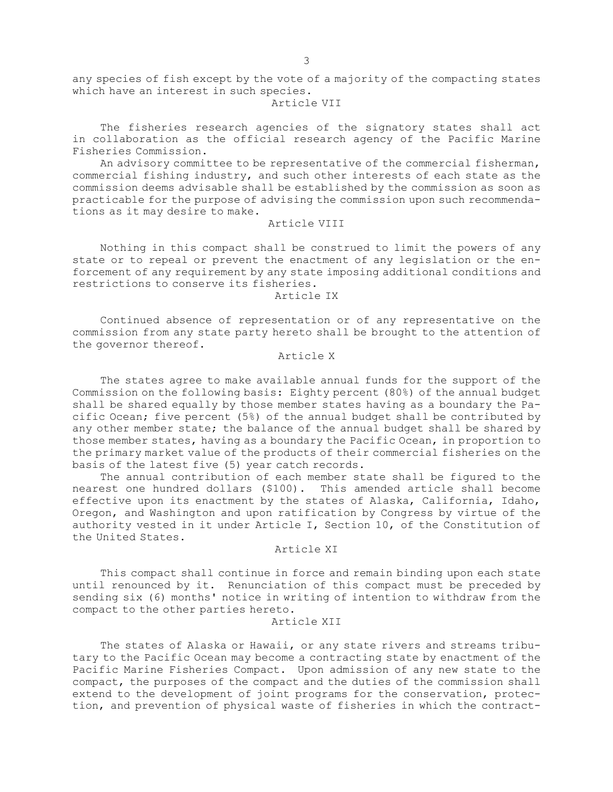any species of fish except by the vote of <sup>a</sup> majority of the compacting states which have an interest in such species.

## Article VII

The fisheries research agencies of the signatory states shall act in collaboration as the official research agency of the Pacific Marine Fisheries Commission.

An advisory committee to be representative of the commercial fisherman, commercial fishing industry, and such other interests of each state as the commission deems advisable shall be established by the commission as soon as practicable for the purpose of advising the commission upon such recommendations as it may desire to make.

#### Article VIII

Nothing in this compact shall be construed to limit the powers of any state or to repeal or prevent the enactment of any legislation or the enforcement of any requirement by any state imposing additional conditions and restrictions to conserve its fisheries.

## Article IX

Continued absence of representation or of any representative on the commission from any state party hereto shall be brought to the attention of the governor thereof.

## Article X

The states agree to make available annual funds for the support of the Commission on the following basis: Eighty percent (80%) of the annual budget shall be shared equally by those member states having as <sup>a</sup> boundary the Pacific Ocean; five percent (5%) of the annual budget shall be contributed by any other member state; the balance of the annual budget shall be shared by those member states, having as <sup>a</sup> boundary the Pacific Ocean, in proportion to the primary market value of the products of their commercial fisheries on the basis of the latest five (5) year catch records.

The annual contribution of each member state shall be figured to the nearest one hundred dollars (\$100). This amended article shall become effective upon its enactment by the states of Alaska, California, Idaho, Oregon, and Washington and upon ratification by Congress by virtue of the authority vested in it under Article I, Section 10, of the Constitution of the United States.

## Article XI

This compact shall continue in force and remain binding upon each state until renounced by it. Renunciation of this compact must be preceded by sending six (6) months' notice in writing of intention to withdraw from the compact to the other parties hereto.

# Article XII

The states of Alaska or Hawaii, or any state rivers and streams tributary to the Pacific Ocean may become <sup>a</sup> contracting state by enactment of the Pacific Marine Fisheries Compact. Upon admission of any new state to the compact, the purposes of the compact and the duties of the commission shall extend to the development of joint programs for the conservation, protection, and prevention of physical waste of fisheries in which the contract